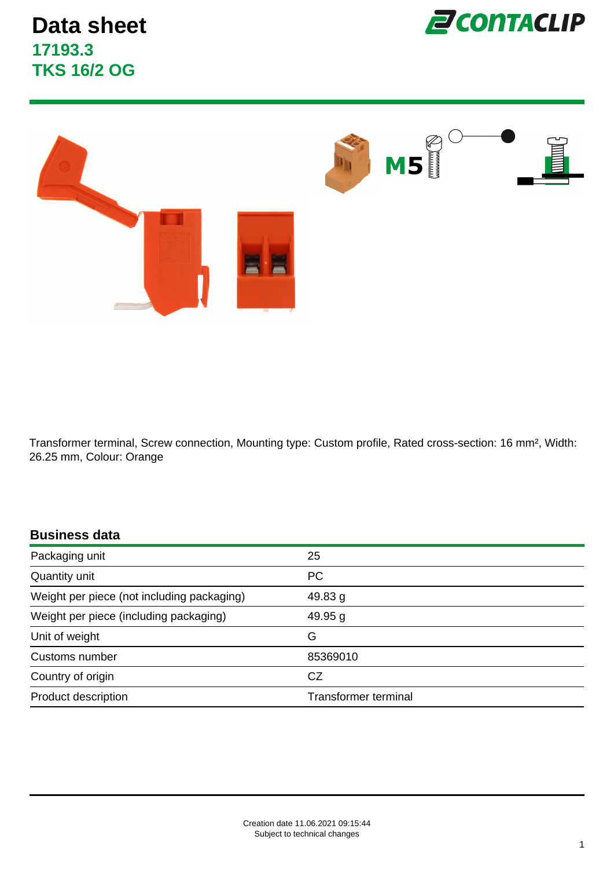



Transformer terminal, Screw connection, Mounting type: Custom profile, Rated cross-section: 16 mm², Width: 26.25 mm, Colour: Orange

#### **Business data**

| Packaging unit                             | 25                          |
|--------------------------------------------|-----------------------------|
| Quantity unit                              | <b>PC</b>                   |
| Weight per piece (not including packaging) | 49.83 g                     |
| Weight per piece (including packaging)     | 49.95 g                     |
| Unit of weight                             | G                           |
| Customs number                             | 85369010                    |
| Country of origin                          | CZ                          |
| Product description                        | <b>Transformer terminal</b> |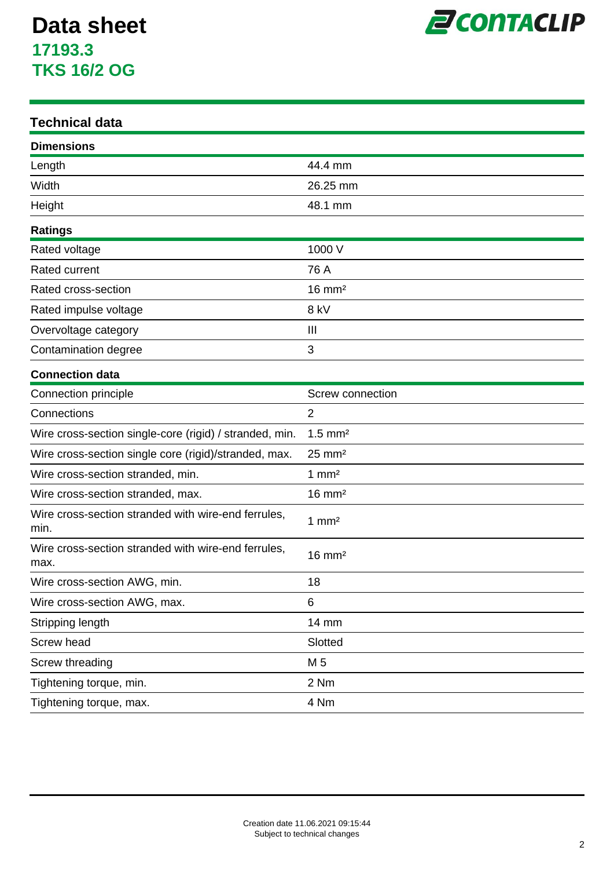

#### **Technical data**

| <b>Dimensions</b>                                           |                       |
|-------------------------------------------------------------|-----------------------|
| Length                                                      | 44.4 mm               |
| Width                                                       | 26.25 mm              |
| Height                                                      | 48.1 mm               |
| <b>Ratings</b>                                              |                       |
| Rated voltage                                               | 1000 V                |
| Rated current                                               | 76 A                  |
| Rated cross-section                                         | $16 \text{ mm}^2$     |
| Rated impulse voltage                                       | 8 kV                  |
| Overvoltage category                                        | Ш                     |
| Contamination degree                                        | 3                     |
| <b>Connection data</b>                                      |                       |
| Connection principle                                        | Screw connection      |
| Connections                                                 | $\overline{2}$        |
| Wire cross-section single-core (rigid) / stranded, min.     | $1.5$ mm <sup>2</sup> |
| Wire cross-section single core (rigid)/stranded, max.       | $25 \text{ mm}^2$     |
| Wire cross-section stranded, min.                           | $1 \text{ mm}^2$      |
| Wire cross-section stranded, max.                           | $16 \text{ mm}^2$     |
| Wire cross-section stranded with wire-end ferrules,<br>min. | $1 \text{ mm}^2$      |
| Wire cross-section stranded with wire-end ferrules,<br>max. | $16 \text{ mm}^2$     |
| Wire cross-section AWG, min.                                | 18                    |
| Wire cross-section AWG, max.                                | 6                     |
| Stripping length                                            | 14 mm                 |
| Screw head                                                  | Slotted               |
| Screw threading                                             | M 5                   |
| Tightening torque, min.                                     | 2 Nm                  |
| Tightening torque, max.                                     | 4 Nm                  |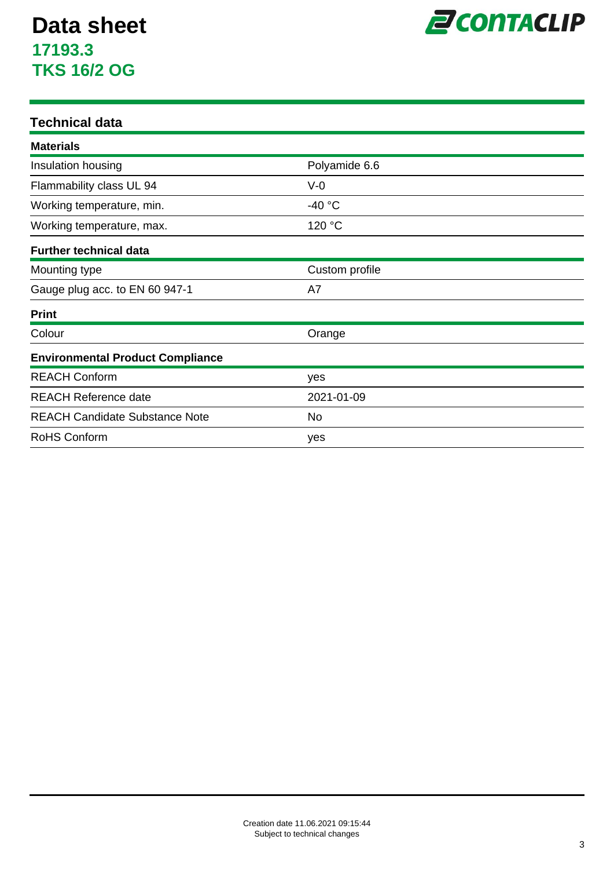

#### **Technical data**

| <b>Materials</b>                        |                |  |
|-----------------------------------------|----------------|--|
| Insulation housing                      | Polyamide 6.6  |  |
| Flammability class UL 94                | $V-0$          |  |
| Working temperature, min.               | $-40 °C$       |  |
| Working temperature, max.               | 120 °C         |  |
| <b>Further technical data</b>           |                |  |
| Mounting type                           | Custom profile |  |
| Gauge plug acc. to EN 60 947-1          | A7             |  |
| <b>Print</b>                            |                |  |
| Colour                                  | Orange         |  |
| <b>Environmental Product Compliance</b> |                |  |
| <b>REACH Conform</b>                    | yes            |  |
| <b>REACH Reference date</b>             | 2021-01-09     |  |
| <b>REACH Candidate Substance Note</b>   | No.            |  |
| <b>RoHS Conform</b>                     | yes            |  |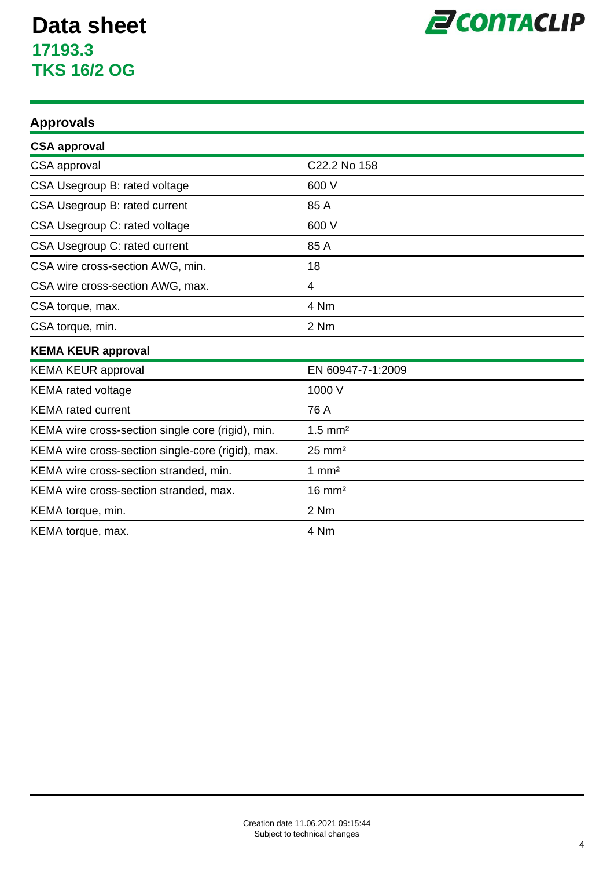

### **Approvals**

| <b>CSA approval</b>                               |                       |
|---------------------------------------------------|-----------------------|
| CSA approval                                      | C22.2 No 158          |
| CSA Usegroup B: rated voltage                     | 600 V                 |
| CSA Usegroup B: rated current                     | 85 A                  |
| CSA Usegroup C: rated voltage                     | 600 V                 |
| CSA Usegroup C: rated current                     | 85 A                  |
| CSA wire cross-section AWG, min.                  | 18                    |
| CSA wire cross-section AWG, max.                  | 4                     |
| CSA torque, max.                                  | 4 Nm                  |
| CSA torque, min.                                  | 2 Nm                  |
| <b>KEMA KEUR approval</b>                         |                       |
| <b>KEMA KEUR approval</b>                         | EN 60947-7-1:2009     |
| <b>KEMA</b> rated voltage                         | 1000 V                |
| <b>KEMA</b> rated current                         | 76 A                  |
| KEMA wire cross-section single core (rigid), min. | $1.5$ mm <sup>2</sup> |
| KEMA wire cross-section single-core (rigid), max. | $25 \text{ mm}^2$     |
| KEMA wire cross-section stranded, min.            | $1 \text{ mm}^2$      |
| KEMA wire cross-section stranded, max.            | $16 \text{ mm}^2$     |
| KEMA torque, min.                                 | 2 Nm                  |
| KEMA torque, max.                                 | 4 Nm                  |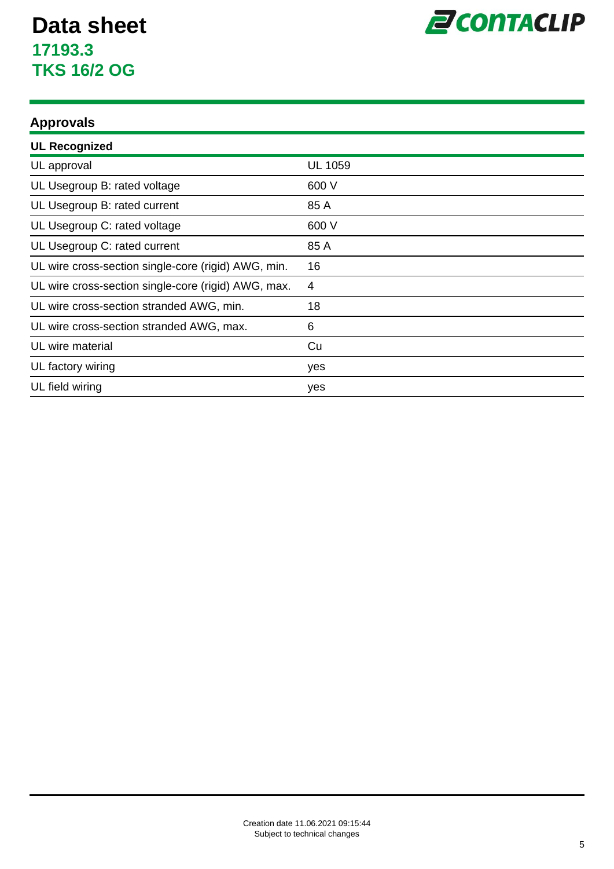

### **Approvals**

| <b>UL Recognized</b>                                |                |
|-----------------------------------------------------|----------------|
| UL approval                                         | <b>UL 1059</b> |
| UL Usegroup B: rated voltage                        | 600 V          |
| UL Usegroup B: rated current                        | 85 A           |
| UL Usegroup C: rated voltage                        | 600 V          |
| UL Usegroup C: rated current                        | 85 A           |
| UL wire cross-section single-core (rigid) AWG, min. | 16             |
| UL wire cross-section single-core (rigid) AWG, max. | 4              |
| UL wire cross-section stranded AWG, min.            | 18             |
| UL wire cross-section stranded AWG, max.            | 6              |
| UL wire material                                    | Cu             |
| UL factory wiring                                   | yes            |
| UL field wiring                                     | yes            |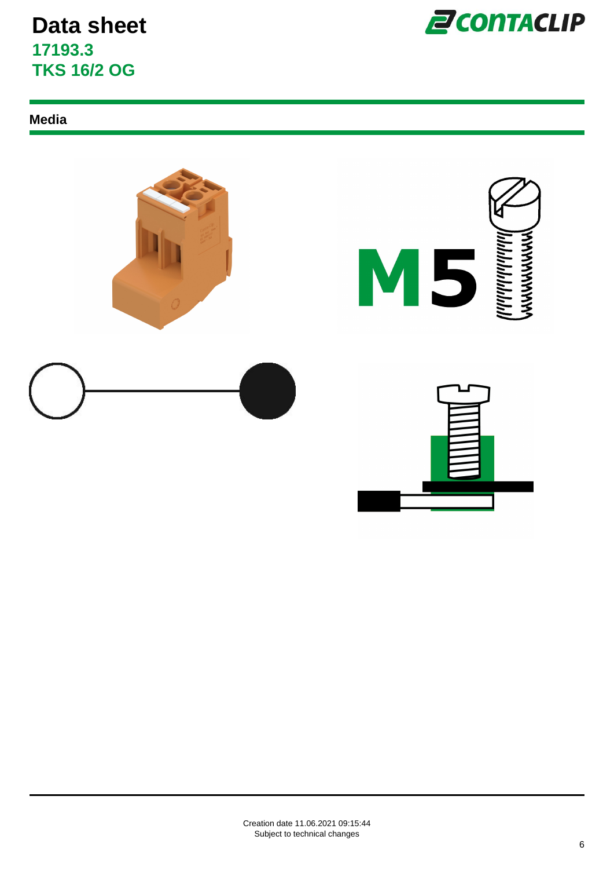

#### **Media**